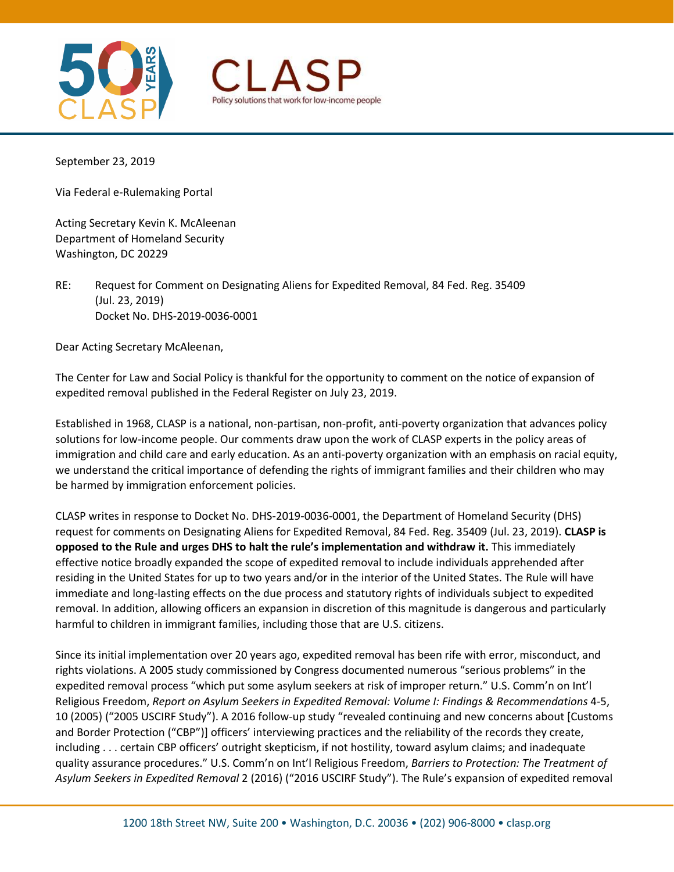



September 23, 2019

Via Federal e-Rulemaking Portal

Acting Secretary Kevin K. McAleenan Department of Homeland Security Washington, DC 20229

RE: Request for Comment on Designating Aliens for Expedited Removal, 84 Fed. Reg. 35409 (Jul. 23, 2019) Docket No. DHS-2019-0036-0001

Dear Acting Secretary McAleenan,

The Center for Law and Social Policy is thankful for the opportunity to comment on the notice of expansion of expedited removal published in the Federal Register on July 23, 2019.

Established in 1968, CLASP is a national, non-partisan, non-profit, anti-poverty organization that advances policy solutions for low-income people. Our comments draw upon the work of CLASP experts in the policy areas of immigration and child care and early education. As an anti-poverty organization with an emphasis on racial equity, we understand the critical importance of defending the rights of immigrant families and their children who may be harmed by immigration enforcement policies.

CLASP writes in response to Docket No. DHS-2019-0036-0001, the Department of Homeland Security (DHS) request for comments on Designating Aliens for Expedited Removal, 84 Fed. Reg. 35409 (Jul. 23, 2019). **CLASP is opposed to the Rule and urges DHS to halt the rule's implementation and withdraw it.** This immediately effective notice broadly expanded the scope of expedited removal to include individuals apprehended after residing in the United States for up to two years and/or in the interior of the United States. The Rule will have immediate and long-lasting effects on the due process and statutory rights of individuals subject to expedited removal. In addition, allowing officers an expansion in discretion of this magnitude is dangerous and particularly harmful to children in immigrant families, including those that are U.S. citizens.

Since its initial implementation over 20 years ago, expedited removal has been rife with error, misconduct, and rights violations. A 2005 study commissioned by Congress documented numerous "serious problems" in the expedited removal process "which put some asylum seekers at risk of improper return." U.S. Comm'n on Int'l Religious Freedom, *Report on Asylum Seekers in Expedited Removal: Volume I: Findings & Recommendations* 4-5, 10 (2005) ("2005 USCIRF Study"). A 2016 follow-up study "revealed continuing and new concerns about [Customs and Border Protection ("CBP")] officers' interviewing practices and the reliability of the records they create, including . . . certain CBP officers' outright skepticism, if not hostility, toward asylum claims; and inadequate quality assurance procedures." U.S. Comm'n on Int'l Religious Freedom, *Barriers to Protection: The Treatment of Asylum Seekers in Expedited Removal* 2 (2016) ("2016 USCIRF Study"). The Rule's expansion of expedited removal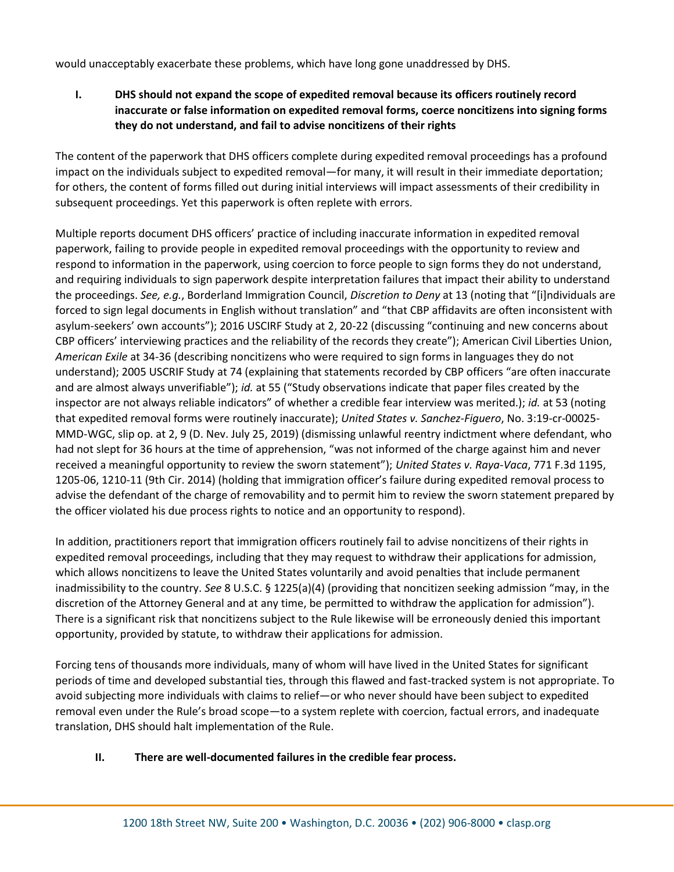would unacceptably exacerbate these problems, which have long gone unaddressed by DHS.

**I. DHS should not expand the scope of expedited removal because its officers routinely record inaccurate or false information on expedited removal forms, coerce noncitizens into signing forms they do not understand, and fail to advise noncitizens of their rights** 

The content of the paperwork that DHS officers complete during expedited removal proceedings has a profound impact on the individuals subject to expedited removal—for many, it will result in their immediate deportation; for others, the content of forms filled out during initial interviews will impact assessments of their credibility in subsequent proceedings. Yet this paperwork is often replete with errors.

Multiple reports document DHS officers' practice of including inaccurate information in expedited removal paperwork, failing to provide people in expedited removal proceedings with the opportunity to review and respond to information in the paperwork, using coercion to force people to sign forms they do not understand, and requiring individuals to sign paperwork despite interpretation failures that impact their ability to understand the proceedings. *See, e.g.*, Borderland Immigration Council, *Discretion to Deny* at 13 (noting that "[i]ndividuals are forced to sign legal documents in English without translation" and "that CBP affidavits are often inconsistent with asylum-seekers' own accounts"); 2016 USCIRF Study at 2, 20-22 (discussing "continuing and new concerns about CBP officers' interviewing practices and the reliability of the records they create"); American Civil Liberties Union, *American Exile* at 34-36 (describing noncitizens who were required to sign forms in languages they do not understand); 2005 USCRIF Study at 74 (explaining that statements recorded by CBP officers "are often inaccurate and are almost always unverifiable"); *id.* at 55 ("Study observations indicate that paper files created by the inspector are not always reliable indicators" of whether a credible fear interview was merited.); *id.* at 53 (noting that expedited removal forms were routinely inaccurate); *United States v. Sanchez-Figuero*, No. 3:19-cr-00025- MMD-WGC, slip op. at 2, 9 (D. Nev. July 25, 2019) (dismissing unlawful reentry indictment where defendant, who had not slept for 36 hours at the time of apprehension, "was not informed of the charge against him and never received a meaningful opportunity to review the sworn statement"); *United States v. Raya-Vaca*, 771 F.3d 1195, 1205-06, 1210-11 (9th Cir. 2014) (holding that immigration officer's failure during expedited removal process to advise the defendant of the charge of removability and to permit him to review the sworn statement prepared by the officer violated his due process rights to notice and an opportunity to respond).

In addition, practitioners report that immigration officers routinely fail to advise noncitizens of their rights in expedited removal proceedings, including that they may request to withdraw their applications for admission, which allows noncitizens to leave the United States voluntarily and avoid penalties that include permanent inadmissibility to the country. *See* 8 U.S.C. § 1225(a)(4) (providing that noncitizen seeking admission "may, in the discretion of the Attorney General and at any time, be permitted to withdraw the application for admission"). There is a significant risk that noncitizens subject to the Rule likewise will be erroneously denied this important opportunity, provided by statute, to withdraw their applications for admission.

Forcing tens of thousands more individuals, many of whom will have lived in the United States for significant periods of time and developed substantial ties, through this flawed and fast-tracked system is not appropriate. To avoid subjecting more individuals with claims to relief—or who never should have been subject to expedited removal even under the Rule's broad scope—to a system replete with coercion, factual errors, and inadequate translation, DHS should halt implementation of the Rule.

## **II. There are well-documented failures in the credible fear process.**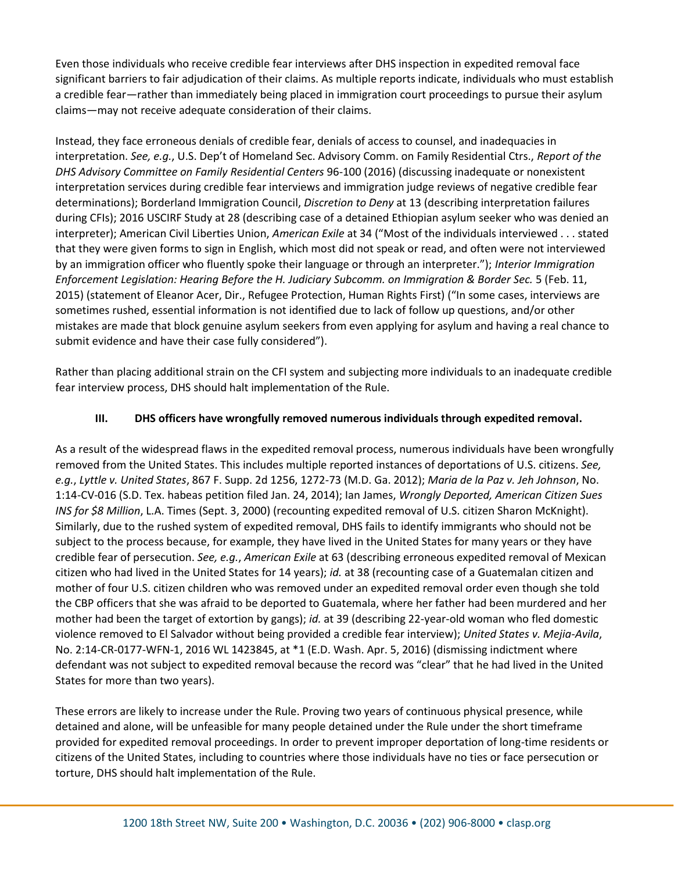Even those individuals who receive credible fear interviews after DHS inspection in expedited removal face significant barriers to fair adjudication of their claims. As multiple reports indicate, individuals who must establish a credible fear—rather than immediately being placed in immigration court proceedings to pursue their asylum claims—may not receive adequate consideration of their claims.

Instead, they face erroneous denials of credible fear, denials of access to counsel, and inadequacies in interpretation. *See, e.g.*, U.S. Dep't of Homeland Sec. Advisory Comm. on Family Residential Ctrs., *Report of the DHS Advisory Committee on Family Residential Centers* 96-100 (2016) (discussing inadequate or nonexistent interpretation services during credible fear interviews and immigration judge reviews of negative credible fear determinations); Borderland Immigration Council, *Discretion to Deny* at 13 (describing interpretation failures during CFIs); 2016 USCIRF Study at 28 (describing case of a detained Ethiopian asylum seeker who was denied an interpreter); American Civil Liberties Union, *American Exile* at 34 ("Most of the individuals interviewed . . . stated that they were given forms to sign in English, which most did not speak or read, and often were not interviewed by an immigration officer who fluently spoke their language or through an interpreter."); *Interior Immigration Enforcement Legislation: Hearing Before the H. Judiciary Subcomm. on Immigration & Border Sec.* 5 (Feb. 11, 2015) (statement of Eleanor Acer, Dir., Refugee Protection, Human Rights First) ("In some cases, interviews are sometimes rushed, essential information is not identified due to lack of follow up questions, and/or other mistakes are made that block genuine asylum seekers from even applying for asylum and having a real chance to submit evidence and have their case fully considered").

Rather than placing additional strain on the CFI system and subjecting more individuals to an inadequate credible fear interview process, DHS should halt implementation of the Rule.

## **III. DHS officers have wrongfully removed numerous individuals through expedited removal.**

As a result of the widespread flaws in the expedited removal process, numerous individuals have been wrongfully removed from the United States. This includes multiple reported instances of deportations of U.S. citizens. *See, e.g.*, *Lyttle v. United States*, 867 F. Supp. 2d 1256, 1272-73 (M.D. Ga. 2012); *Maria de la Paz v. Jeh Johnson*, No. 1:14-CV-016 (S.D. Tex. habeas petition filed Jan. 24, 2014); Ian James, *Wrongly Deported, American Citizen Sues INS for \$8 Million*, L.A. Times (Sept. 3, 2000) (recounting expedited removal of U.S. citizen Sharon McKnight). Similarly, due to the rushed system of expedited removal, DHS fails to identify immigrants who should not be subject to the process because, for example, they have lived in the United States for many years or they have credible fear of persecution. *See, e.g.*, *American Exile* at 63 (describing erroneous expedited removal of Mexican citizen who had lived in the United States for 14 years); *id.* at 38 (recounting case of a Guatemalan citizen and mother of four U.S. citizen children who was removed under an expedited removal order even though she told the CBP officers that she was afraid to be deported to Guatemala, where her father had been murdered and her mother had been the target of extortion by gangs); *id.* at 39 (describing 22-year-old woman who fled domestic violence removed to El Salvador without being provided a credible fear interview); *United States v. Mejia-Avila*, No. 2:14-CR-0177-WFN-1, 2016 WL 1423845, at \*1 (E.D. Wash. Apr. 5, 2016) (dismissing indictment where defendant was not subject to expedited removal because the record was "clear" that he had lived in the United States for more than two years).

These errors are likely to increase under the Rule. Proving two years of continuous physical presence, while detained and alone, will be unfeasible for many people detained under the Rule under the short timeframe provided for expedited removal proceedings. In order to prevent improper deportation of long-time residents or citizens of the United States, including to countries where those individuals have no ties or face persecution or torture, DHS should halt implementation of the Rule.